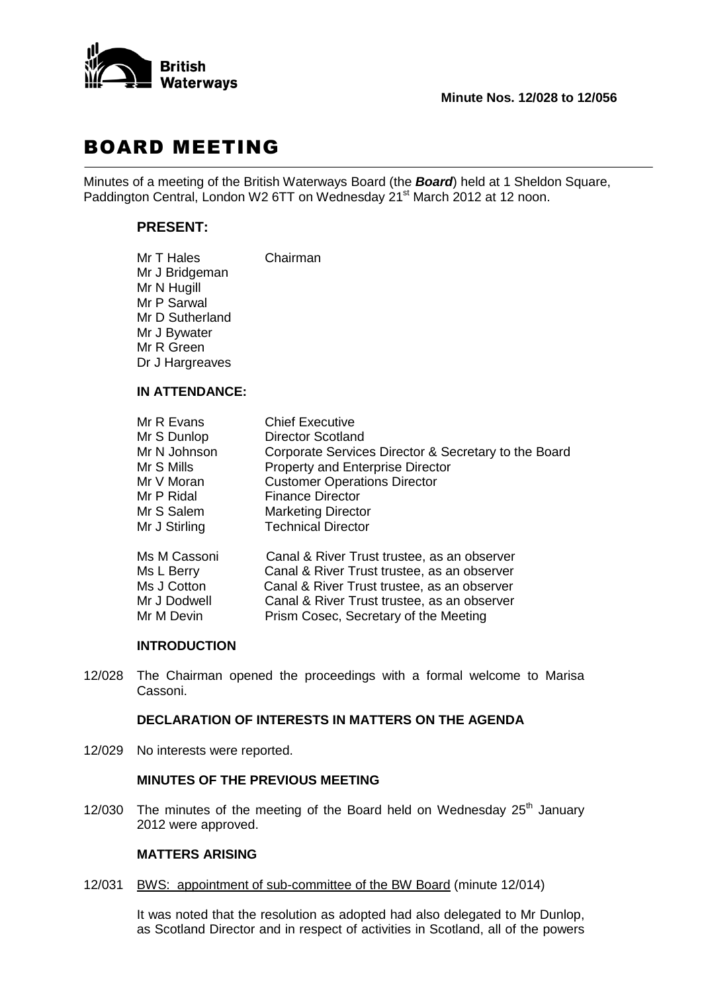

# BOARD MEETING

Minutes of a meeting of the British Waterways Board (the *Board*) held at 1 Sheldon Square, Paddington Central, London W2 6TT on Wednesday 21<sup>st</sup> March 2012 at 12 noon.

# **PRESENT:**

| Mr T Hales      | Chairman |
|-----------------|----------|
| Mr J Bridgeman  |          |
| Mr N Hugill     |          |
| Mr P Sarwal     |          |
| Mr D Sutherland |          |
| Mr J Bywater    |          |
| Mr R Green      |          |
| Dr J Hargreaves |          |
|                 |          |

#### **IN ATTENDANCE:**

| Mr R Evans    | <b>Chief Executive</b>                               |
|---------------|------------------------------------------------------|
| Mr S Dunlop   | <b>Director Scotland</b>                             |
| Mr N Johnson  | Corporate Services Director & Secretary to the Board |
| Mr S Mills    | <b>Property and Enterprise Director</b>              |
| Mr V Moran    | <b>Customer Operations Director</b>                  |
| Mr P Ridal    | <b>Finance Director</b>                              |
| Mr S Salem    | <b>Marketing Director</b>                            |
| Mr J Stirling | <b>Technical Director</b>                            |
| Ms M Cassoni  | Canal & River Trust trustee, as an observer          |
| Ms L Berry    | Canal & River Trust trustee, as an observer          |
| Ms J Cotton   | Canal & River Trust trustee, as an observer          |
| Mr J Dodwell  | Canal & River Trust trustee, as an observer          |
| Mr M Devin    | Prism Cosec, Secretary of the Meeting                |
|               |                                                      |

#### **INTRODUCTION**

12/028 The Chairman opened the proceedings with a formal welcome to Marisa Cassoni.

# **DECLARATION OF INTERESTS IN MATTERS ON THE AGENDA**

12/029 No interests were reported.

# **MINUTES OF THE PREVIOUS MEETING**

12/030 The minutes of the meeting of the Board held on Wednesday  $25<sup>th</sup>$  January 2012 were approved.

# **MATTERS ARISING**

12/031 BWS: appointment of sub-committee of the BW Board (minute 12/014)

It was noted that the resolution as adopted had also delegated to Mr Dunlop, as Scotland Director and in respect of activities in Scotland, all of the powers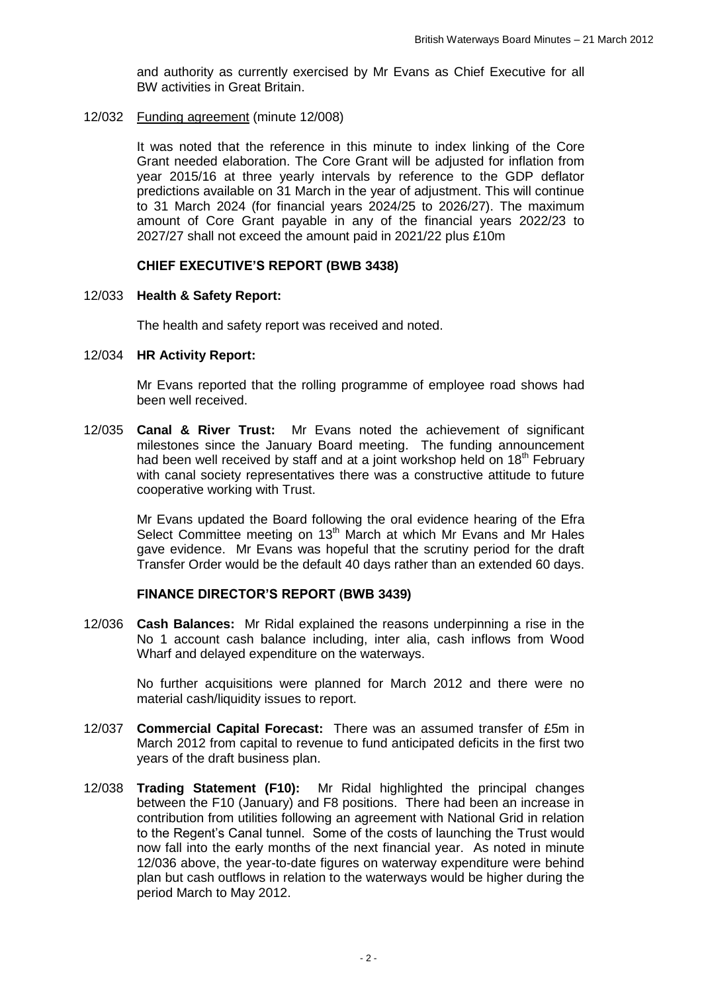and authority as currently exercised by Mr Evans as Chief Executive for all BW activities in Great Britain.

12/032 Funding agreement (minute 12/008)

It was noted that the reference in this minute to index linking of the Core Grant needed elaboration. The Core Grant will be adjusted for inflation from year 2015/16 at three yearly intervals by reference to the GDP deflator predictions available on 31 March in the year of adjustment. This will continue to 31 March 2024 (for financial years 2024/25 to 2026/27). The maximum amount of Core Grant payable in any of the financial years 2022/23 to 2027/27 shall not exceed the amount paid in 2021/22 plus £10m

#### **CHIEF EXECUTIVE'S REPORT (BWB 3438)**

#### 12/033 **Health & Safety Report:**

The health and safety report was received and noted.

# 12/034 **HR Activity Report:**

Mr Evans reported that the rolling programme of employee road shows had been well received.

12/035 **Canal & River Trust:** Mr Evans noted the achievement of significant milestones since the January Board meeting. The funding announcement had been well received by staff and at a joint workshop held on  $18<sup>th</sup>$  February with canal society representatives there was a constructive attitude to future cooperative working with Trust.

> Mr Evans updated the Board following the oral evidence hearing of the Efra Select Committee meeting on 13<sup>th</sup> March at which Mr Evans and Mr Hales gave evidence. Mr Evans was hopeful that the scrutiny period for the draft Transfer Order would be the default 40 days rather than an extended 60 days.

### **FINANCE DIRECTOR'S REPORT (BWB 3439)**

12/036 **Cash Balances:** Mr Ridal explained the reasons underpinning a rise in the No 1 account cash balance including, inter alia, cash inflows from Wood Wharf and delayed expenditure on the waterways.

> No further acquisitions were planned for March 2012 and there were no material cash/liquidity issues to report.

- 12/037 **Commercial Capital Forecast:** There was an assumed transfer of £5m in March 2012 from capital to revenue to fund anticipated deficits in the first two years of the draft business plan.
- 12/038 **Trading Statement (F10):** Mr Ridal highlighted the principal changes between the F10 (January) and F8 positions. There had been an increase in contribution from utilities following an agreement with National Grid in relation to the Regent's Canal tunnel. Some of the costs of launching the Trust would now fall into the early months of the next financial year. As noted in minute 12/036 above, the year-to-date figures on waterway expenditure were behind plan but cash outflows in relation to the waterways would be higher during the period March to May 2012.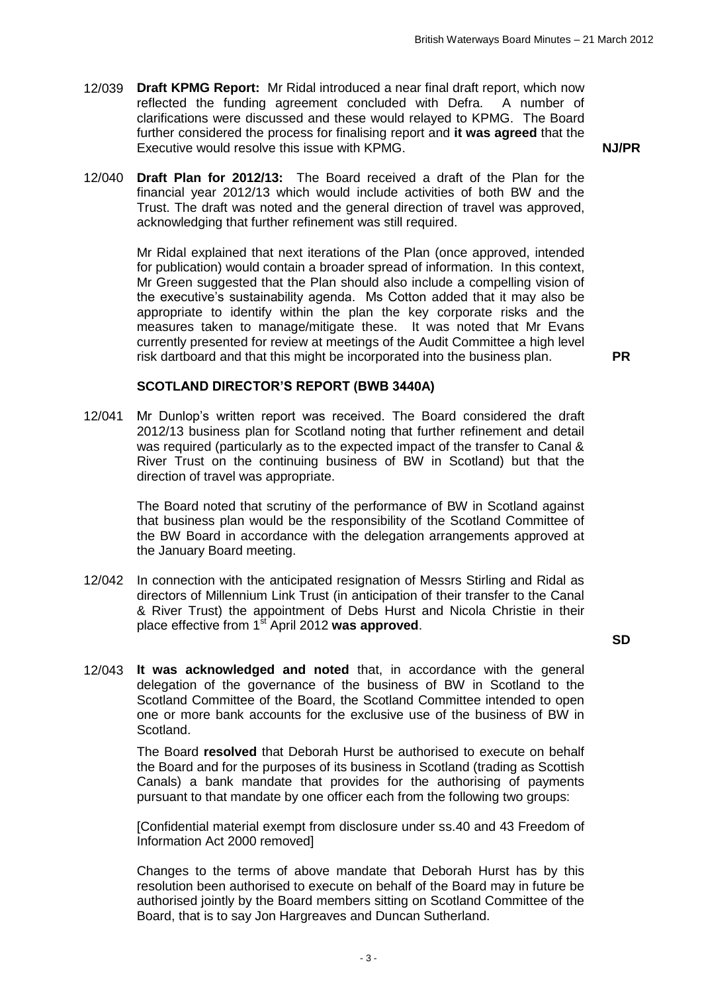12/039 **Draft KPMG Report:** Mr Ridal introduced a near final draft report, which now reflected the funding agreement concluded with Defra. A number of clarifications were discussed and these would relayed to KPMG. The Board further considered the process for finalising report and **it was agreed** that the Executive would resolve this issue with KPMG. **NJ/PR**

12/040 **Draft Plan for 2012/13:** The Board received a draft of the Plan for the financial year 2012/13 which would include activities of both BW and the Trust. The draft was noted and the general direction of travel was approved, acknowledging that further refinement was still required.

> Mr Ridal explained that next iterations of the Plan (once approved, intended for publication) would contain a broader spread of information. In this context, Mr Green suggested that the Plan should also include a compelling vision of the executive's sustainability agenda. Ms Cotton added that it may also be appropriate to identify within the plan the key corporate risks and the measures taken to manage/mitigate these. It was noted that Mr Evans currently presented for review at meetings of the Audit Committee a high level risk dartboard and that this might be incorporated into the business plan. **PR**

#### **SCOTLAND DIRECTOR'S REPORT (BWB 3440A)**

12/041 Mr Dunlop's written report was received. The Board considered the draft 2012/13 business plan for Scotland noting that further refinement and detail was required (particularly as to the expected impact of the transfer to Canal & River Trust on the continuing business of BW in Scotland) but that the direction of travel was appropriate.

> The Board noted that scrutiny of the performance of BW in Scotland against that business plan would be the responsibility of the Scotland Committee of the BW Board in accordance with the delegation arrangements approved at the January Board meeting.

- 12/042 In connection with the anticipated resignation of Messrs Stirling and Ridal as directors of Millennium Link Trust (in anticipation of their transfer to the Canal & River Trust) the appointment of Debs Hurst and Nicola Christie in their place effective from 1st April 2012 **was approved**.
- **SD**
- 12/043 **It was acknowledged and noted** that, in accordance with the general delegation of the governance of the business of BW in Scotland to the Scotland Committee of the Board, the Scotland Committee intended to open one or more bank accounts for the exclusive use of the business of BW in Scotland.

The Board **resolved** that Deborah Hurst be authorised to execute on behalf the Board and for the purposes of its business in Scotland (trading as Scottish Canals) a bank mandate that provides for the authorising of payments pursuant to that mandate by one officer each from the following two groups:

[Confidential material exempt from disclosure under ss.40 and 43 Freedom of Information Act 2000 removed]

Changes to the terms of above mandate that Deborah Hurst has by this resolution been authorised to execute on behalf of the Board may in future be authorised jointly by the Board members sitting on Scotland Committee of the Board, that is to say Jon Hargreaves and Duncan Sutherland.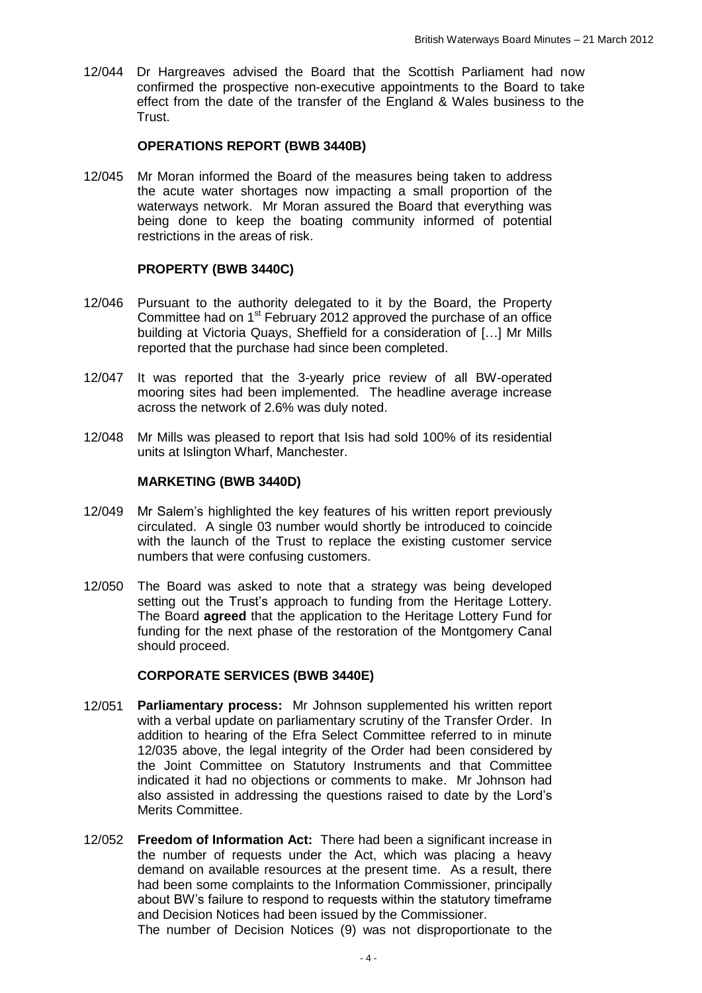12/044 Dr Hargreaves advised the Board that the Scottish Parliament had now confirmed the prospective non-executive appointments to the Board to take effect from the date of the transfer of the England & Wales business to the Trust.

# **OPERATIONS REPORT (BWB 3440B)**

12/045 Mr Moran informed the Board of the measures being taken to address the acute water shortages now impacting a small proportion of the waterways network. Mr Moran assured the Board that everything was being done to keep the boating community informed of potential restrictions in the areas of risk.

# **PROPERTY (BWB 3440C)**

- 12/046 Pursuant to the authority delegated to it by the Board, the Property Committee had on 1<sup>st</sup> February 2012 approved the purchase of an office building at Victoria Quays, Sheffield for a consideration of […] Mr Mills reported that the purchase had since been completed.
- 12/047 It was reported that the 3-yearly price review of all BW-operated mooring sites had been implemented. The headline average increase across the network of 2.6% was duly noted.
- 12/048 Mr Mills was pleased to report that Isis had sold 100% of its residential units at Islington Wharf, Manchester.

# **MARKETING (BWB 3440D)**

- 12/049 Mr Salem's highlighted the key features of his written report previously circulated. A single 03 number would shortly be introduced to coincide with the launch of the Trust to replace the existing customer service numbers that were confusing customers.
- 12/050 The Board was asked to note that a strategy was being developed setting out the Trust's approach to funding from the Heritage Lottery. The Board **agreed** that the application to the Heritage Lottery Fund for funding for the next phase of the restoration of the Montgomery Canal should proceed.

# **CORPORATE SERVICES (BWB 3440E)**

- 12/051 **Parliamentary process:** Mr Johnson supplemented his written report with a verbal update on parliamentary scrutiny of the Transfer Order. In addition to hearing of the Efra Select Committee referred to in minute 12/035 above, the legal integrity of the Order had been considered by the Joint Committee on Statutory Instruments and that Committee indicated it had no objections or comments to make. Mr Johnson had also assisted in addressing the questions raised to date by the Lord's Merits Committee.
- 12/052 **Freedom of Information Act:** There had been a significant increase in the number of requests under the Act, which was placing a heavy demand on available resources at the present time. As a result, there had been some complaints to the Information Commissioner, principally about BW's failure to respond to requests within the statutory timeframe and Decision Notices had been issued by the Commissioner.

The number of Decision Notices (9) was not disproportionate to the